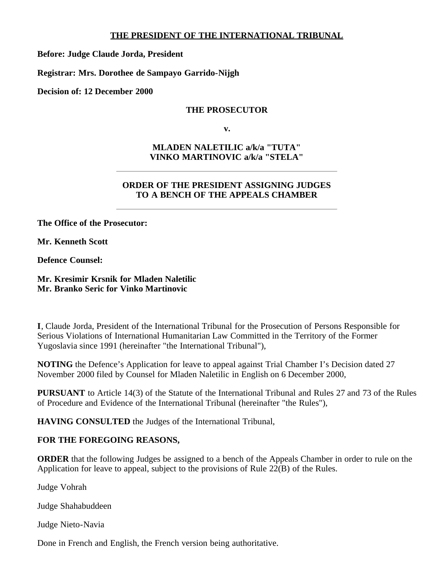### **THE PRESIDENT OF THE INTERNATIONAL TRIBUNAL**

**Before: Judge Claude Jorda, President**

**Registrar: Mrs. Dorothee de Sampayo Garrido-Nijgh**

**Decision of: 12 December 2000**

### **THE PROSECUTOR**

**v.**

# **MLADEN NALETILIC a/k/a "TUTA" VINKO MARTINOVIC a/k/a "STELA"**

# **ORDER OF THE PRESIDENT ASSIGNING JUDGES TO A BENCH OF THE APPEALS CHAMBER**

**The Office of the Prosecutor:**

**Mr. Kenneth Scott**

**Defence Counsel:**

#### **Mr. Kresimir Krsnik for Mladen Naletilic Mr. Branko Seric for Vinko Martinovic**

**I**, Claude Jorda, President of the International Tribunal for the Prosecution of Persons Responsible for Serious Violations of International Humanitarian Law Committed in the Territory of the Former Yugoslavia since 1991 (hereinafter "the International Tribunal"),

**NOTING** the Defence's Application for leave to appeal against Trial Chamber I's Decision dated 27 November 2000 filed by Counsel for Mladen Naletilic in English on 6 December 2000,

**PURSUANT** to Article 14(3) of the Statute of the International Tribunal and Rules 27 and 73 of the Rules of Procedure and Evidence of the International Tribunal (hereinafter "the Rules"),

**HAVING CONSULTED** the Judges of the International Tribunal,

## **FOR THE FOREGOING REASONS,**

**ORDER** that the following Judges be assigned to a bench of the Appeals Chamber in order to rule on the Application for leave to appeal, subject to the provisions of Rule 22(B) of the Rules.

Judge Vohrah

Judge Shahabuddeen

Judge Nieto-Navia

Done in French and English, the French version being authoritative.